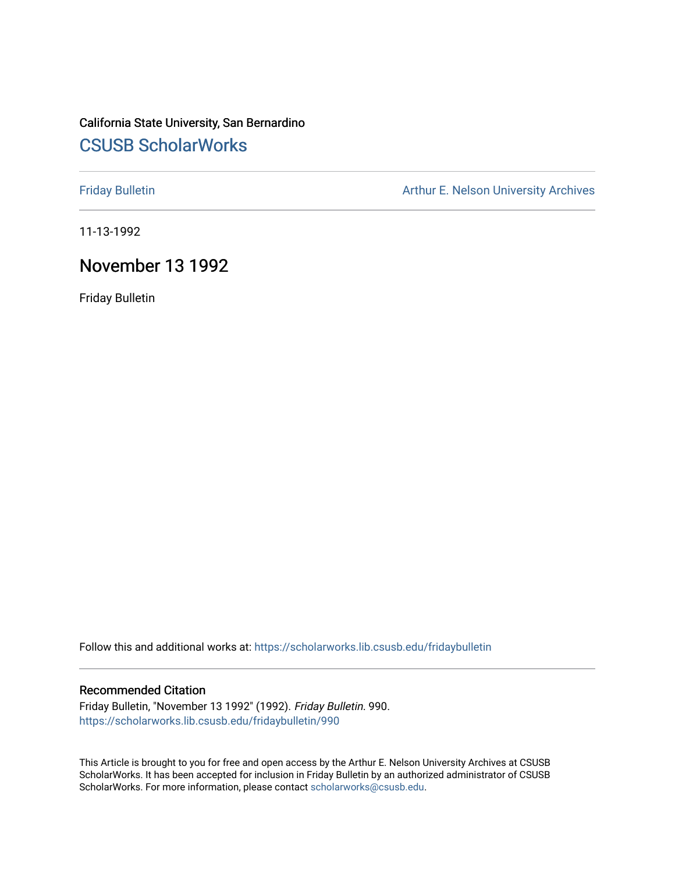## California State University, San Bernardino [CSUSB ScholarWorks](https://scholarworks.lib.csusb.edu/)

[Friday Bulletin](https://scholarworks.lib.csusb.edu/fridaybulletin) **Arthur E. Nelson University Archives** Arthur E. Nelson University Archives

11-13-1992

## November 13 1992

Friday Bulletin

Follow this and additional works at: [https://scholarworks.lib.csusb.edu/fridaybulletin](https://scholarworks.lib.csusb.edu/fridaybulletin?utm_source=scholarworks.lib.csusb.edu%2Ffridaybulletin%2F990&utm_medium=PDF&utm_campaign=PDFCoverPages)

#### Recommended Citation

Friday Bulletin, "November 13 1992" (1992). Friday Bulletin. 990. [https://scholarworks.lib.csusb.edu/fridaybulletin/990](https://scholarworks.lib.csusb.edu/fridaybulletin/990?utm_source=scholarworks.lib.csusb.edu%2Ffridaybulletin%2F990&utm_medium=PDF&utm_campaign=PDFCoverPages)

This Article is brought to you for free and open access by the Arthur E. Nelson University Archives at CSUSB ScholarWorks. It has been accepted for inclusion in Friday Bulletin by an authorized administrator of CSUSB ScholarWorks. For more information, please contact [scholarworks@csusb.edu.](mailto:scholarworks@csusb.edu)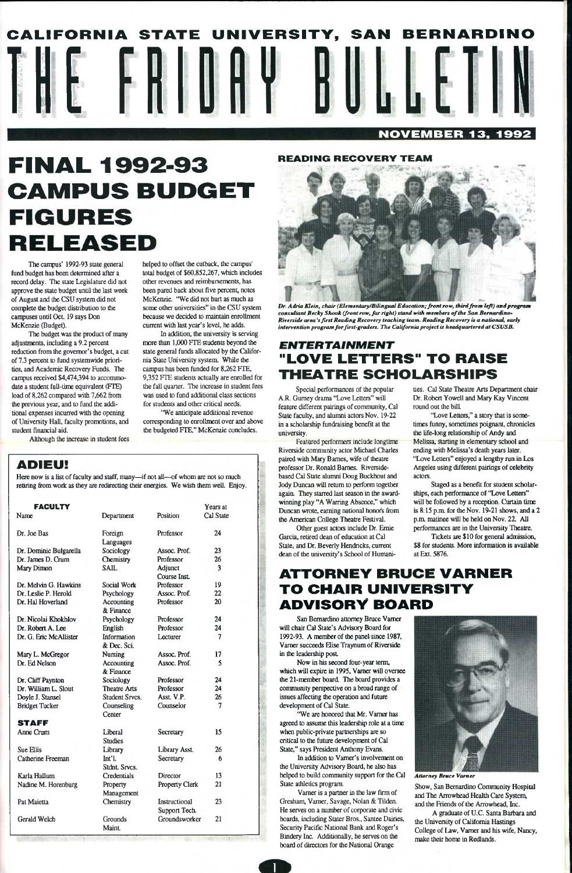# CALIFORNIA STATE UNIVERSITY, SAN BERNARDINO HE NOVEMBER 13, 1992

## **FINAL 1992-93 CAMPUS BUDGET FIGURES** RELEASED

#### READING RECOVERY TEAM

The campus' 1992-93 state general fund budget has been determined after a record delay. The state Legislature did not approve the slate budget until the last week of August and the CSU system did not complete the budget distribution to the campuses until Oct. 19 says Don McKenzie (Budget).

The budget was the product of many adjustments, including a 9.2 percent reduction from the governor's budget, a cut of 7.3 percent to fund systemwide priorities, and Academic Recovery Funds. The campus received \$4,474,394 to accommodate a student full-time equivalent (PTE) load of 8,262 compared with 7,662 from the previous year, and to fund the additional expenses incurred with the opening of University Hall, faculty promotions, and student financial aid. Although the increase in student fees helped to offset the cutback, the campus' total budget of \$60,852,267, which includes other revenues and reimbursements, has been pared back about five percent, notes McKenzie. "We did not hurt as much as

some other universities" in the CSU system because we decided to maintain enrollment current with last year's level, he adds. In addition, the university is serving more than 1,000 PTE students beyond the state general funds allocated by the Califor-

nia State University system While the cannous has been funded for 8,262 FTE, 9,352 PTE students actually are enrolled for the fall quarter. The increase in student fees was used to fund additional class sections for students and other critical needs.

'We anticipate additional revenue corresponding to enrollment over and above the budgeted PTE," McKenzie concludes.

## ADIEU!

Here now is a list of faculty and staff, many—if not all—of whom are not so much retiring from work as they are redirecting their energies. We wish them well. Enjoy.



*Dr. Adria Klein, chair (Elementary/Bilingual Education; front row, thirdfrom left) and program consultant Becky Shook (front row, far right) stand with members of the San Bernardino^ Riverside area's first Reading Recovery teaching team. Reading Recovery is a national, early intervention program forfirst-graders. The California project is headquarteredat CSUSB.* 

ships, each performance of "Love Letters" will be followed by a reception. Curtain time is 8:15 p.m. for the Nov. 19-21 shows, and a 2 p.m. matinee will be held on Nov. 22. All performances are in the University Theatre. Tickets are \$10 for general admission, \$8 for students. More information is available

| <b>Position</b><br>Cal State<br>Department<br>Dr. Joe Bas<br>Professor<br>24<br>Foreign<br>Languages<br>Sociology<br>Assoc. Prof.<br>23<br>Dr. Dominic Bulgarella<br>Professor<br>Dr. James D. Crum<br>Chemistry<br>26<br><b>SAIL</b><br>3<br>Mary Dimon<br>Adjunct<br><b>Course Inst.</b><br>Professor<br>Dr. Melvin G. Hawkins<br>19<br>Social Work<br>22<br>Dr. Leslie P. Herold<br>Assoc. Prof.<br>Psychology<br>Dr. Hal Hoverland<br>Professor<br>20<br>Accounting<br>& Finance<br>Professor<br>24<br>Dr. Nicolai Khokhlov<br>Psychology<br>Dr. Robert A. Lee<br>Professor<br>24<br>English<br>Information<br>Dr. G. Eric McAllister<br>Lecturer<br>7<br>& Dec. Sci.<br>17<br>Assoc. Prof.<br>Nursing<br>Mary L. McGregor<br>Dr. Ed Nelson<br>Assoc. Prof.<br>5<br>Accounting<br>& Finance<br>Professor<br>24<br>Sociology<br>Dr. Cliff Paynton<br>Dr. William L. Slout<br><b>Theatre Arts</b><br>Professor<br>24<br>Asst. V.P.<br><b>Student Srvcs.</b><br>26<br>Doyle J. Stansel<br>Counselor<br><b>Bridget Tucker</b><br>Counseling<br>7<br>Center<br><b>STAFF</b><br>15<br>Anne Crum<br>Liberal<br>Secretary<br><b>Studies</b><br><b>Sue Ellis</b><br>Library<br>Library Asst.<br>26<br>Catherine Freeman<br>Int'l.<br>6<br>Secretary<br>Stdnt, Srvcs.<br>Credentials<br>13<br>Karla Hallum<br>Director<br>21<br>Nadine M. Horenburg<br><b>Property Clerk</b><br>Property<br>Management<br>23<br>Chemistry<br>Instructional<br>Pat Maietta<br>Support Tech.<br>21<br><b>Gerald Welch</b><br>Groundsworker<br>Grounds | <b>FACULTY</b> |               | Years at |
|-------------------------------------------------------------------------------------------------------------------------------------------------------------------------------------------------------------------------------------------------------------------------------------------------------------------------------------------------------------------------------------------------------------------------------------------------------------------------------------------------------------------------------------------------------------------------------------------------------------------------------------------------------------------------------------------------------------------------------------------------------------------------------------------------------------------------------------------------------------------------------------------------------------------------------------------------------------------------------------------------------------------------------------------------------------------------------------------------------------------------------------------------------------------------------------------------------------------------------------------------------------------------------------------------------------------------------------------------------------------------------------------------------------------------------------------------------------------------------------------------------------------------------|----------------|---------------|----------|
|                                                                                                                                                                                                                                                                                                                                                                                                                                                                                                                                                                                                                                                                                                                                                                                                                                                                                                                                                                                                                                                                                                                                                                                                                                                                                                                                                                                                                                                                                                                               | Name           |               |          |
|                                                                                                                                                                                                                                                                                                                                                                                                                                                                                                                                                                                                                                                                                                                                                                                                                                                                                                                                                                                                                                                                                                                                                                                                                                                                                                                                                                                                                                                                                                                               |                |               |          |
|                                                                                                                                                                                                                                                                                                                                                                                                                                                                                                                                                                                                                                                                                                                                                                                                                                                                                                                                                                                                                                                                                                                                                                                                                                                                                                                                                                                                                                                                                                                               |                |               |          |
|                                                                                                                                                                                                                                                                                                                                                                                                                                                                                                                                                                                                                                                                                                                                                                                                                                                                                                                                                                                                                                                                                                                                                                                                                                                                                                                                                                                                                                                                                                                               |                |               |          |
|                                                                                                                                                                                                                                                                                                                                                                                                                                                                                                                                                                                                                                                                                                                                                                                                                                                                                                                                                                                                                                                                                                                                                                                                                                                                                                                                                                                                                                                                                                                               |                |               |          |
|                                                                                                                                                                                                                                                                                                                                                                                                                                                                                                                                                                                                                                                                                                                                                                                                                                                                                                                                                                                                                                                                                                                                                                                                                                                                                                                                                                                                                                                                                                                               |                |               |          |
|                                                                                                                                                                                                                                                                                                                                                                                                                                                                                                                                                                                                                                                                                                                                                                                                                                                                                                                                                                                                                                                                                                                                                                                                                                                                                                                                                                                                                                                                                                                               |                |               |          |
|                                                                                                                                                                                                                                                                                                                                                                                                                                                                                                                                                                                                                                                                                                                                                                                                                                                                                                                                                                                                                                                                                                                                                                                                                                                                                                                                                                                                                                                                                                                               |                |               |          |
|                                                                                                                                                                                                                                                                                                                                                                                                                                                                                                                                                                                                                                                                                                                                                                                                                                                                                                                                                                                                                                                                                                                                                                                                                                                                                                                                                                                                                                                                                                                               |                |               |          |
|                                                                                                                                                                                                                                                                                                                                                                                                                                                                                                                                                                                                                                                                                                                                                                                                                                                                                                                                                                                                                                                                                                                                                                                                                                                                                                                                                                                                                                                                                                                               |                |               |          |
|                                                                                                                                                                                                                                                                                                                                                                                                                                                                                                                                                                                                                                                                                                                                                                                                                                                                                                                                                                                                                                                                                                                                                                                                                                                                                                                                                                                                                                                                                                                               |                |               |          |
|                                                                                                                                                                                                                                                                                                                                                                                                                                                                                                                                                                                                                                                                                                                                                                                                                                                                                                                                                                                                                                                                                                                                                                                                                                                                                                                                                                                                                                                                                                                               |                |               |          |
|                                                                                                                                                                                                                                                                                                                                                                                                                                                                                                                                                                                                                                                                                                                                                                                                                                                                                                                                                                                                                                                                                                                                                                                                                                                                                                                                                                                                                                                                                                                               |                |               |          |
|                                                                                                                                                                                                                                                                                                                                                                                                                                                                                                                                                                                                                                                                                                                                                                                                                                                                                                                                                                                                                                                                                                                                                                                                                                                                                                                                                                                                                                                                                                                               |                |               |          |
|                                                                                                                                                                                                                                                                                                                                                                                                                                                                                                                                                                                                                                                                                                                                                                                                                                                                                                                                                                                                                                                                                                                                                                                                                                                                                                                                                                                                                                                                                                                               |                |               |          |
|                                                                                                                                                                                                                                                                                                                                                                                                                                                                                                                                                                                                                                                                                                                                                                                                                                                                                                                                                                                                                                                                                                                                                                                                                                                                                                                                                                                                                                                                                                                               |                |               |          |
|                                                                                                                                                                                                                                                                                                                                                                                                                                                                                                                                                                                                                                                                                                                                                                                                                                                                                                                                                                                                                                                                                                                                                                                                                                                                                                                                                                                                                                                                                                                               |                |               |          |
|                                                                                                                                                                                                                                                                                                                                                                                                                                                                                                                                                                                                                                                                                                                                                                                                                                                                                                                                                                                                                                                                                                                                                                                                                                                                                                                                                                                                                                                                                                                               |                |               |          |
|                                                                                                                                                                                                                                                                                                                                                                                                                                                                                                                                                                                                                                                                                                                                                                                                                                                                                                                                                                                                                                                                                                                                                                                                                                                                                                                                                                                                                                                                                                                               |                |               |          |
|                                                                                                                                                                                                                                                                                                                                                                                                                                                                                                                                                                                                                                                                                                                                                                                                                                                                                                                                                                                                                                                                                                                                                                                                                                                                                                                                                                                                                                                                                                                               |                |               |          |
|                                                                                                                                                                                                                                                                                                                                                                                                                                                                                                                                                                                                                                                                                                                                                                                                                                                                                                                                                                                                                                                                                                                                                                                                                                                                                                                                                                                                                                                                                                                               |                |               |          |
|                                                                                                                                                                                                                                                                                                                                                                                                                                                                                                                                                                                                                                                                                                                                                                                                                                                                                                                                                                                                                                                                                                                                                                                                                                                                                                                                                                                                                                                                                                                               |                |               |          |
|                                                                                                                                                                                                                                                                                                                                                                                                                                                                                                                                                                                                                                                                                                                                                                                                                                                                                                                                                                                                                                                                                                                                                                                                                                                                                                                                                                                                                                                                                                                               |                |               |          |
|                                                                                                                                                                                                                                                                                                                                                                                                                                                                                                                                                                                                                                                                                                                                                                                                                                                                                                                                                                                                                                                                                                                                                                                                                                                                                                                                                                                                                                                                                                                               |                |               |          |
|                                                                                                                                                                                                                                                                                                                                                                                                                                                                                                                                                                                                                                                                                                                                                                                                                                                                                                                                                                                                                                                                                                                                                                                                                                                                                                                                                                                                                                                                                                                               |                |               |          |
|                                                                                                                                                                                                                                                                                                                                                                                                                                                                                                                                                                                                                                                                                                                                                                                                                                                                                                                                                                                                                                                                                                                                                                                                                                                                                                                                                                                                                                                                                                                               |                |               |          |
|                                                                                                                                                                                                                                                                                                                                                                                                                                                                                                                                                                                                                                                                                                                                                                                                                                                                                                                                                                                                                                                                                                                                                                                                                                                                                                                                                                                                                                                                                                                               |                |               |          |
|                                                                                                                                                                                                                                                                                                                                                                                                                                                                                                                                                                                                                                                                                                                                                                                                                                                                                                                                                                                                                                                                                                                                                                                                                                                                                                                                                                                                                                                                                                                               |                |               |          |
|                                                                                                                                                                                                                                                                                                                                                                                                                                                                                                                                                                                                                                                                                                                                                                                                                                                                                                                                                                                                                                                                                                                                                                                                                                                                                                                                                                                                                                                                                                                               |                |               |          |
|                                                                                                                                                                                                                                                                                                                                                                                                                                                                                                                                                                                                                                                                                                                                                                                                                                                                                                                                                                                                                                                                                                                                                                                                                                                                                                                                                                                                                                                                                                                               |                |               |          |
|                                                                                                                                                                                                                                                                                                                                                                                                                                                                                                                                                                                                                                                                                                                                                                                                                                                                                                                                                                                                                                                                                                                                                                                                                                                                                                                                                                                                                                                                                                                               |                |               |          |
|                                                                                                                                                                                                                                                                                                                                                                                                                                                                                                                                                                                                                                                                                                                                                                                                                                                                                                                                                                                                                                                                                                                                                                                                                                                                                                                                                                                                                                                                                                                               |                |               |          |
|                                                                                                                                                                                                                                                                                                                                                                                                                                                                                                                                                                                                                                                                                                                                                                                                                                                                                                                                                                                                                                                                                                                                                                                                                                                                                                                                                                                                                                                                                                                               |                |               |          |
|                                                                                                                                                                                                                                                                                                                                                                                                                                                                                                                                                                                                                                                                                                                                                                                                                                                                                                                                                                                                                                                                                                                                                                                                                                                                                                                                                                                                                                                                                                                               |                |               |          |
|                                                                                                                                                                                                                                                                                                                                                                                                                                                                                                                                                                                                                                                                                                                                                                                                                                                                                                                                                                                                                                                                                                                                                                                                                                                                                                                                                                                                                                                                                                                               |                |               |          |
|                                                                                                                                                                                                                                                                                                                                                                                                                                                                                                                                                                                                                                                                                                                                                                                                                                                                                                                                                                                                                                                                                                                                                                                                                                                                                                                                                                                                                                                                                                                               |                | <b>Maint.</b> |          |

San Bernardino attorney Bruce Vamer will chair Cal State's Advisory Board for 1992-93. A member of the panel since 1987, Varner succeeds Elise Traynum of Riverside in the leadership post.



In addition to Vamer's involvement on the University Advisory Board, he also has helped to build community support for the Cal State athletics program.

Show, San Bernardino Community Hospital and The Arrowhead Health Care System, and the Friends of the Arrowhead, Inc.

## *ENTERTAINMENT*  "LOVE LETTERS" TO RAISE THEATRE SCHOLARSHIPS

Special performances of the popular A.R. Gumey drama "Love Letters" will feature different pairings of community, Cal State faculty, and alumni actors Nov. 19-22 in a scholarship fundraising benefit at the university.

Featured performers include longtime Riverside community actor Michael Charles paired with Mary Barnes, wife of theatre professor Dr. Ronald Barnes. Riversidebased Cal State alumni Doug Buckhout and Jody Duncan will return to perform together again. They starred last season in the awardwinning play "A Warring Absence," which Duncan wrote, earning national honofs from the American College Theatre Festival.

Other guest actors include Dr. Ernie Garcia, retired dean of education at Cal State, and Dr. Beverly Hendricks, current dean of the university's School of Humanities. Cal State Theatre Arts Department chair Dr. Robert Yowell and Mary Kay Vincent

round out the bill.

"Love Letters," a story that is sometimes funny, sometimes poignant, chronicles<br>the life-long relationship of Andy and Melissa, starting in elementary school and ending with Melissa's death years later. "Love Letters" enjoyed a lengthy run in Los Angeles using different pairings of celebrity

actors.

Staged as a benefit for student scholar-

at Ext. 5876.

## ATTORNEY BRUCE VARNER TO CHAIR UNIVERSITY ADVISORY BOARD

Now in his second four-year term, which will expire in 1995, Vamer will oversee the 21-member board The board provides a community perspective on a broad range of issues affecting the operation and future development of Cal State.

'We are honored that Mr. Vamer has agreed to assume this leadership role at a time when public-private partnerships are so critical to the future development of Cal State," says President Anthony Evans.

Vamer is a partner in the law firm of Gresham, Varner, Savage, Nolan & Tilden. He serves on a number of corporate and civic boards, including Stater Bros., Santee Dairies, Security Pacific National Bank and Roger's Bindery Inc. Additionally, he serves on the board of directors for the National Orange



*Attorney Bruce Varner* 

A graduate of U.C. Santa Barbara and the University of California Hastings College of Law, Varner and his wife, Nancy, make their home in Redlands.